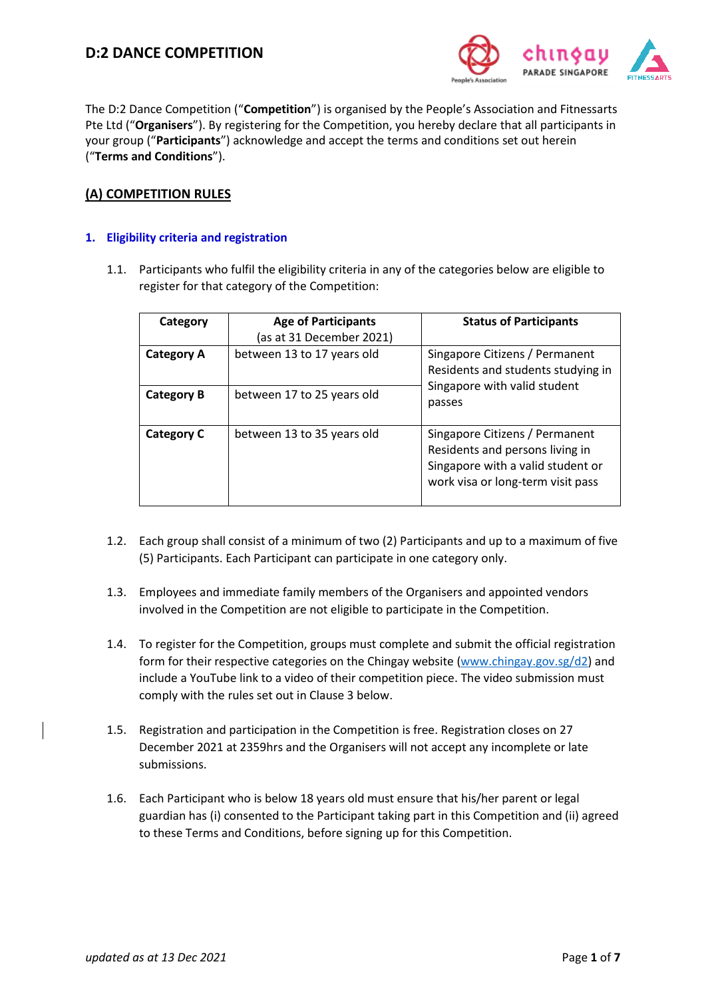

The D:2 Dance Competition ("**Competition**") is organised by the People's Association and Fitnessarts Pte Ltd ("**Organisers**"). By registering for the Competition, you hereby declare that all participants in your group ("**Participants**") acknowledge and accept the terms and conditions set out herein ("**Terms and Conditions**").

## **(A) COMPETITION RULES**

## **1. Eligibility criteria and registration**

1.1. Participants who fulfil the eligibility criteria in any of the categories below are eligible to register for that category of the Competition:

| Category          | <b>Age of Participants</b><br>(as at 31 December 2021) | <b>Status of Participants</b>                                                                                                               |  |
|-------------------|--------------------------------------------------------|---------------------------------------------------------------------------------------------------------------------------------------------|--|
| <b>Category A</b> | between 13 to 17 years old                             | Singapore Citizens / Permanent<br>Residents and students studying in<br>Singapore with valid student<br>passes                              |  |
| <b>Category B</b> | between 17 to 25 years old                             |                                                                                                                                             |  |
| <b>Category C</b> | between 13 to 35 years old                             | Singapore Citizens / Permanent<br>Residents and persons living in<br>Singapore with a valid student or<br>work visa or long-term visit pass |  |

- 1.2. Each group shall consist of a minimum of two (2) Participants and up to a maximum of five (5) Participants. Each Participant can participate in one category only.
- 1.3. Employees and immediate family members of the Organisers and appointed vendors involved in the Competition are not eligible to participate in the Competition.
- 1.4. To register for the Competition, groups must complete and submit the official registration form for their respective categories on the Chingay website [\(www.chingay.gov.sg/d2\)](http://www.chingay.gov.sg/d2) and include a YouTube link to a video of their competition piece. The video submission must comply with the rules set out in Clause 3 below.
- 1.5. Registration and participation in the Competition is free. Registration closes on 27 December 2021 at 2359hrs and the Organisers will not accept any incomplete or late submissions.
- 1.6. Each Participant who is below 18 years old must ensure that his/her parent or legal guardian has (i) consented to the Participant taking part in this Competition and (ii) agreed to these Terms and Conditions, before signing up for this Competition.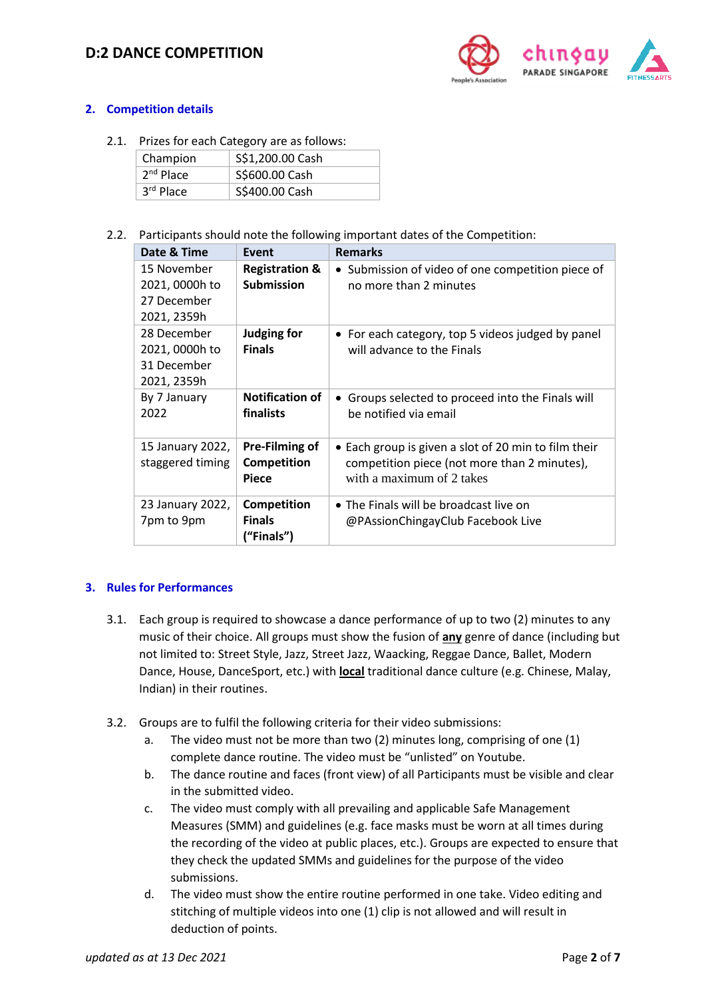# **D:2 DANCE COMPETITION**



## **2. Competition details**

2.1. Prizes for each Category are as follows:

| Champion    | S\$1,200.00 Cash |
|-------------|------------------|
| $2nd$ Place | S\$600.00 Cash   |
| 3rd Place   | S\$400.00 Cash   |

2.2. Participants should note the following important dates of the Competition:

| Date & Time                                                 | Event                                                | <b>Remarks</b>                                                                                                                    |
|-------------------------------------------------------------|------------------------------------------------------|-----------------------------------------------------------------------------------------------------------------------------------|
| 15 November<br>2021, 0000h to<br>27 December<br>2021, 2359h | <b>Registration &amp;</b><br><b>Submission</b>       | • Submission of video of one competition piece of<br>no more than 2 minutes                                                       |
| 28 December<br>2021, 0000h to<br>31 December<br>2021, 2359h | <b>Judging for</b><br><b>Finals</b>                  | • For each category, top 5 videos judged by panel<br>will advance to the Finals                                                   |
| By 7 January<br>2022                                        | <b>Notification of</b><br>finalists                  | Groups selected to proceed into the Finals will<br>be notified via email                                                          |
| 15 January 2022,<br>staggered timing                        | Pre-Filming of<br><b>Competition</b><br><b>Piece</b> | • Each group is given a slot of 20 min to film their<br>competition piece (not more than 2 minutes),<br>with a maximum of 2 takes |
| 23 January 2022,<br>7pm to 9pm                              | Competition<br><b>Finals</b><br>("Finals")           | • The Finals will be broadcast live on<br>@PAssionChingayClub Facebook Live                                                       |

#### **3. Rules for Performances**

- 3.1. Each group is required to showcase a dance performance of up to two (2) minutes to any music of their choice. All groups must show the fusion of **any** genre of dance (including but not limited to: Street Style, Jazz, Street Jazz, Waacking, Reggae Dance, Ballet, Modern Dance, House, DanceSport, etc.) with **local** traditional dance culture (e.g. Chinese, Malay, Indian) in their routines.
- 3.2. Groups are to fulfil the following criteria for their video submissions:
	- a. The video must not be more than two (2) minutes long, comprising of one (1) complete dance routine. The video must be "unlisted" on Youtube.
	- b. The dance routine and faces (front view) of all Participants must be visible and clear in the submitted video.
	- c. The video must comply with all prevailing and applicable Safe Management Measures (SMM) and guidelines (e.g. face masks must be worn at all times during the recording of the video at public places, etc.). Groups are expected to ensure that they check the updated SMMs and guidelines for the purpose of the video submissions.
	- d. The video must show the entire routine performed in one take. Video editing and stitching of multiple videos into one (1) clip is not allowed and will result in deduction of points.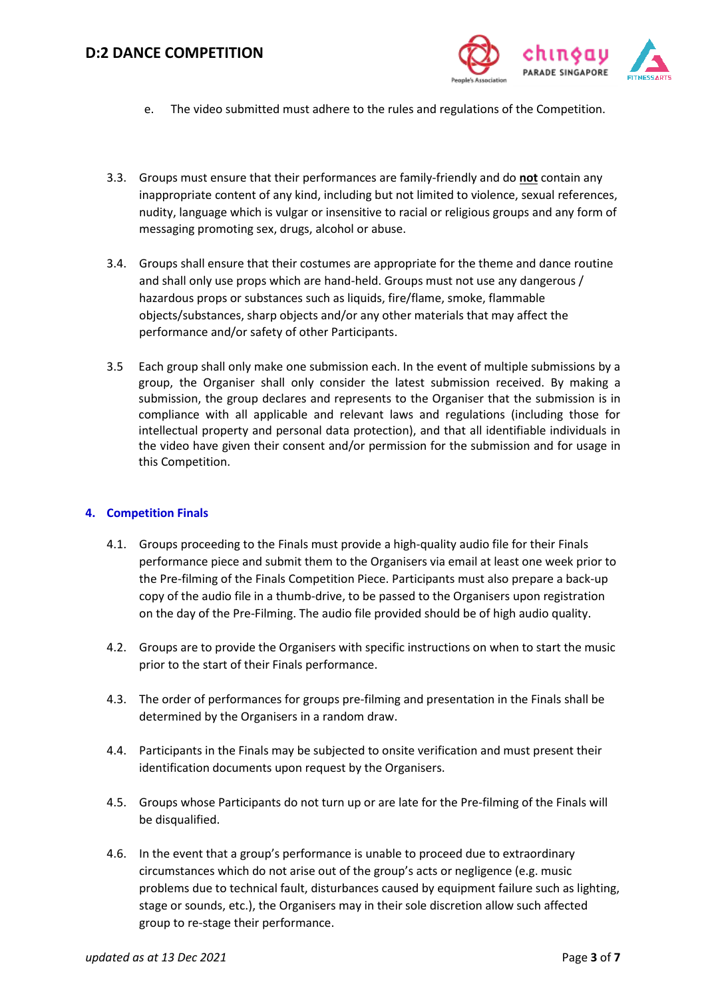

- e. The video submitted must adhere to the rules and regulations of the Competition.
- 3.3. Groups must ensure that their performances are family-friendly and do **not** contain any inappropriate content of any kind, including but not limited to violence, sexual references, nudity, language which is vulgar or insensitive to racial or religious groups and any form of messaging promoting sex, drugs, alcohol or abuse.
- 3.4. Groups shall ensure that their costumes are appropriate for the theme and dance routine and shall only use props which are hand-held. Groups must not use any dangerous / hazardous props or substances such as liquids, fire/flame, smoke, flammable objects/substances, sharp objects and/or any other materials that may affect the performance and/or safety of other Participants.
- 3.5 Each group shall only make one submission each. In the event of multiple submissions by a group, the Organiser shall only consider the latest submission received. By making a submission, the group declares and represents to the Organiser that the submission is in compliance with all applicable and relevant laws and regulations (including those for intellectual property and personal data protection), and that all identifiable individuals in the video have given their consent and/or permission for the submission and for usage in this Competition.

#### **4. Competition Finals**

- 4.1. Groups proceeding to the Finals must provide a high-quality audio file for their Finals performance piece and submit them to the Organisers via email at least one week prior to the Pre-filming of the Finals Competition Piece. Participants must also prepare a back-up copy of the audio file in a thumb-drive, to be passed to the Organisers upon registration on the day of the Pre-Filming. The audio file provided should be of high audio quality.
- 4.2. Groups are to provide the Organisers with specific instructions on when to start the music prior to the start of their Finals performance.
- 4.3. The order of performances for groups pre-filming and presentation in the Finals shall be determined by the Organisers in a random draw.
- 4.4. Participants in the Finals may be subjected to onsite verification and must present their identification documents upon request by the Organisers.
- 4.5. Groups whose Participants do not turn up or are late for the Pre-filming of the Finals will be disqualified.
- 4.6. In the event that a group's performance is unable to proceed due to extraordinary circumstances which do not arise out of the group's acts or negligence (e.g. music problems due to technical fault, disturbances caused by equipment failure such as lighting, stage or sounds, etc.), the Organisers may in their sole discretion allow such affected group to re-stage their performance.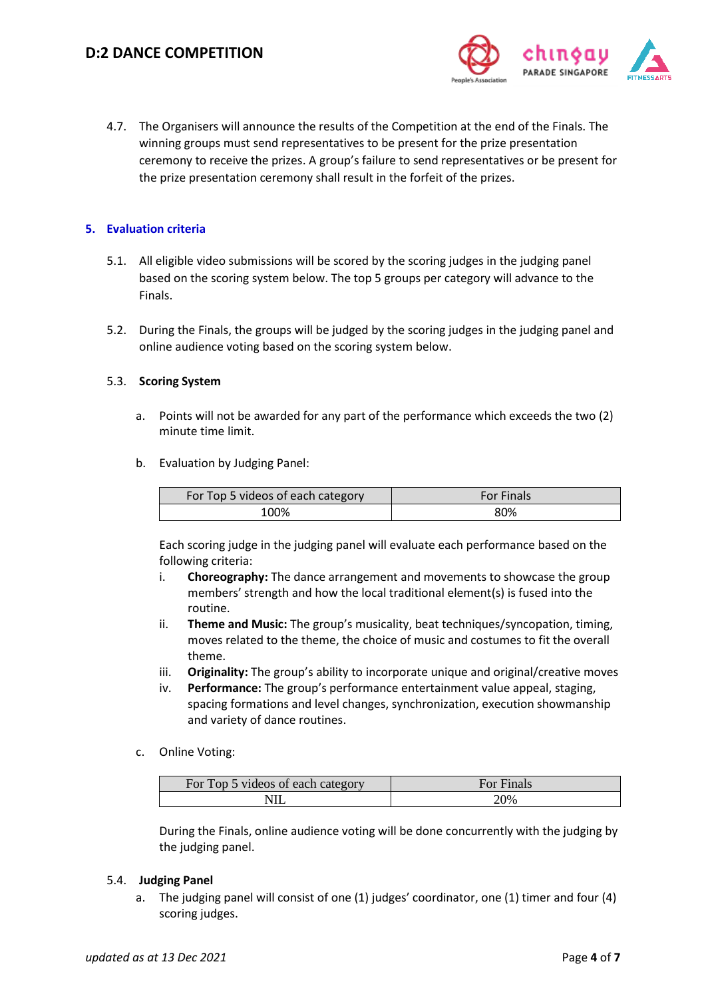

4.7. The Organisers will announce the results of the Competition at the end of the Finals. The winning groups must send representatives to be present for the prize presentation ceremony to receive the prizes. A group's failure to send representatives or be present for the prize presentation ceremony shall result in the forfeit of the prizes.

#### **5. Evaluation criteria**

- 5.1. All eligible video submissions will be scored by the scoring judges in the judging panel based on the scoring system below. The top 5 groups per category will advance to the Finals.
- 5.2. During the Finals, the groups will be judged by the scoring judges in the judging panel and online audience voting based on the scoring system below.

#### 5.3. **Scoring System**

- a. Points will not be awarded for any part of the performance which exceeds the two (2) minute time limit.
- b. Evaluation by Judging Panel:

| For Top 5 videos of each category | <b>For Finals</b> |
|-----------------------------------|-------------------|
| 100%                              | 80%               |

Each scoring judge in the judging panel will evaluate each performance based on the following criteria:

- i. **Choreography:** The dance arrangement and movements to showcase the group members' strength and how the local traditional element(s) is fused into the routine.
- ii. **Theme and Music:** The group's musicality, beat techniques/syncopation, timing, moves related to the theme, the choice of music and costumes to fit the overall theme.
- iii. **Originality:** The group's ability to incorporate unique and original/creative moves
- iv. **Performance:** The group's performance entertainment value appeal, staging, spacing formations and level changes, synchronization, execution showmanship and variety of dance routines.

#### c. Online Voting:

| For Top 5 videos of each category | For Finals |
|-----------------------------------|------------|
|                                   | 20%        |

During the Finals, online audience voting will be done concurrently with the judging by the judging panel.

#### 5.4. **Judging Panel**

a. The judging panel will consist of one (1) judges' coordinator, one (1) timer and four (4) scoring judges.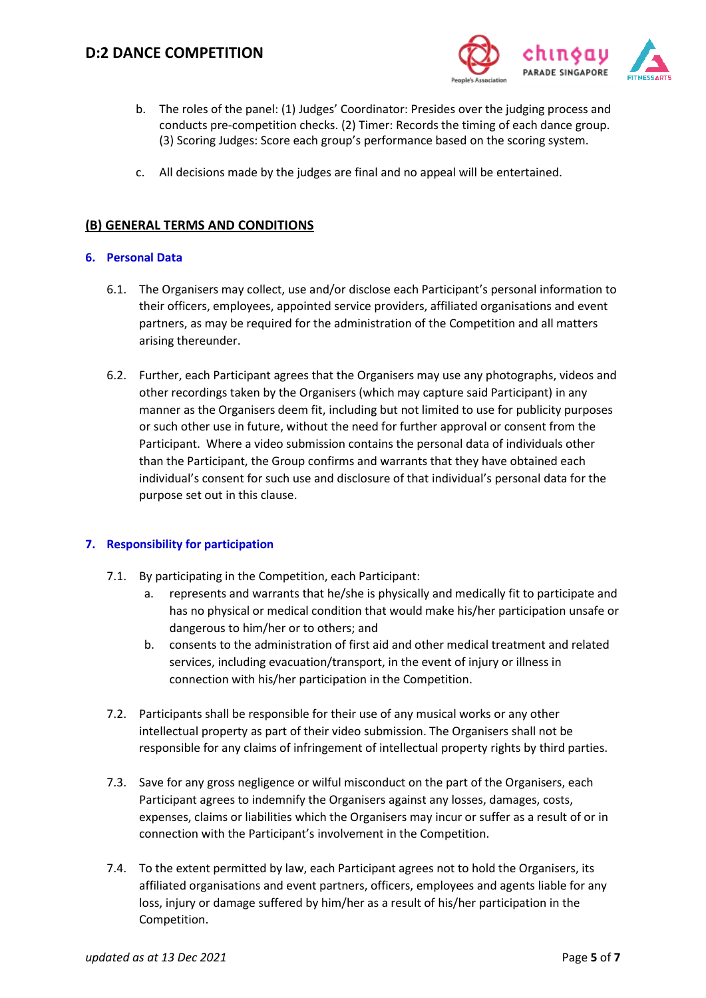

- b. The roles of the panel: (1) Judges' Coordinator: Presides over the judging process and conducts pre-competition checks. (2) Timer: Records the timing of each dance group. (3) Scoring Judges: Score each group's performance based on the scoring system.
- c. All decisions made by the judges are final and no appeal will be entertained.

## **(B) GENERAL TERMS AND CONDITIONS**

#### **6. Personal Data**

- 6.1. The Organisers may collect, use and/or disclose each Participant's personal information to their officers, employees, appointed service providers, affiliated organisations and event partners, as may be required for the administration of the Competition and all matters arising thereunder.
- 6.2. Further, each Participant agrees that the Organisers may use any photographs, videos and other recordings taken by the Organisers (which may capture said Participant) in any manner as the Organisers deem fit, including but not limited to use for publicity purposes or such other use in future, without the need for further approval or consent from the Participant. Where a video submission contains the personal data of individuals other than the Participant, the Group confirms and warrants that they have obtained each individual's consent for such use and disclosure of that individual's personal data for the purpose set out in this clause.

#### **7. Responsibility for participation**

- 7.1. By participating in the Competition, each Participant:
	- a. represents and warrants that he/she is physically and medically fit to participate and has no physical or medical condition that would make his/her participation unsafe or dangerous to him/her or to others; and
	- b. consents to the administration of first aid and other medical treatment and related services, including evacuation/transport, in the event of injury or illness in connection with his/her participation in the Competition.
- 7.2. Participants shall be responsible for their use of any musical works or any other intellectual property as part of their video submission. The Organisers shall not be responsible for any claims of infringement of intellectual property rights by third parties.
- 7.3. Save for any gross negligence or wilful misconduct on the part of the Organisers, each Participant agrees to indemnify the Organisers against any losses, damages, costs, expenses, claims or liabilities which the Organisers may incur or suffer as a result of or in connection with the Participant's involvement in the Competition.
- 7.4. To the extent permitted by law, each Participant agrees not to hold the Organisers, its affiliated organisations and event partners, officers, employees and agents liable for any loss, injury or damage suffered by him/her as a result of his/her participation in the Competition.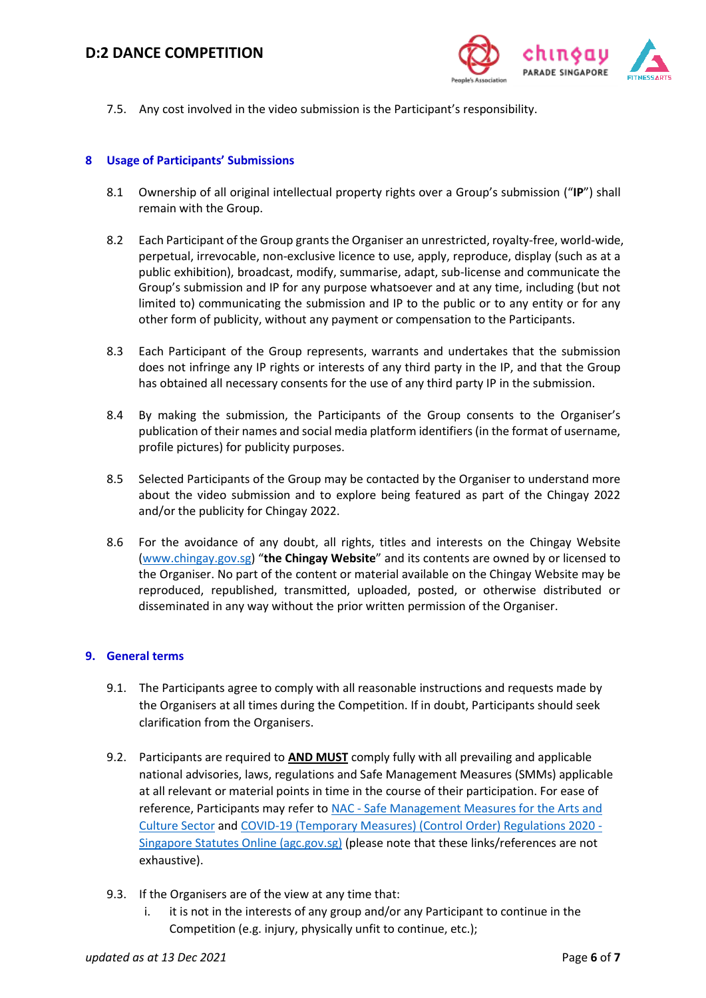

7.5. Any cost involved in the video submission is the Participant's responsibility.

#### **8 Usage of Participants' Submissions**

- 8.1 Ownership of all original intellectual property rights over a Group's submission ("**IP**") shall remain with the Group.
- 8.2 Each Participant of the Group grants the Organiser an unrestricted, royalty-free, world-wide, perpetual, irrevocable, non-exclusive licence to use, apply, reproduce, display (such as at a public exhibition), broadcast, modify, summarise, adapt, sub-license and communicate the Group's submission and IP for any purpose whatsoever and at any time, including (but not limited to) communicating the submission and IP to the public or to any entity or for any other form of publicity, without any payment or compensation to the Participants.
- 8.3 Each Participant of the Group represents, warrants and undertakes that the submission does not infringe any IP rights or interests of any third party in the IP, and that the Group has obtained all necessary consents for the use of any third party IP in the submission.
- 8.4 By making the submission, the Participants of the Group consents to the Organiser's publication of their names and social media platform identifiers (in the format of username, profile pictures) for publicity purposes.
- 8.5 Selected Participants of the Group may be contacted by the Organiser to understand more about the video submission and to explore being featured as part of the Chingay 2022 and/or the publicity for Chingay 2022.
- 8.6 For the avoidance of any doubt, all rights, titles and interests on the Chingay Website [\(www.chingay.gov.sg](http://www.chingay.gov.sg/)) "**the Chingay Website**" and its contents are owned by or licensed to the Organiser. No part of the content or material available on the Chingay Website may be reproduced, republished, transmitted, uploaded, posted, or otherwise distributed or disseminated in any way without the prior written permission of the Organiser.

#### **9. General terms**

- 9.1. The Participants agree to comply with all reasonable instructions and requests made by the Organisers at all times during the Competition. If in doubt, Participants should seek clarification from the Organisers.
- 9.2. Participants are required to **AND MUST** comply fully with all prevailing and applicable national advisories, laws, regulations and Safe Management Measures (SMMs) applicable at all relevant or material points in time in the course of their participation. For ease of reference, Participants may refer to NAC - Safe Management Measures for the Arts and [Culture Sector](https://www.nac.gov.sg/whatwedo/support/sustaining-the-arts-during-covid-19/Safe-Management-Measures-for-the-Arts-and-Culture-Sector.html) and [COVID-19 \(Temporary Measures\) \(Control Order\) Regulations 2020 -](https://sso.agc.gov.sg/SL/COVID19TMA2020-S254-2020?DocDate=20210907#top) [Singapore Statutes Online \(agc.gov.sg\)](https://sso.agc.gov.sg/SL/COVID19TMA2020-S254-2020?DocDate=20210907#top) (please note that these links/references are not exhaustive).
- 9.3. If the Organisers are of the view at any time that:
	- i. it is not in the interests of any group and/or any Participant to continue in the Competition (e.g. injury, physically unfit to continue, etc.);